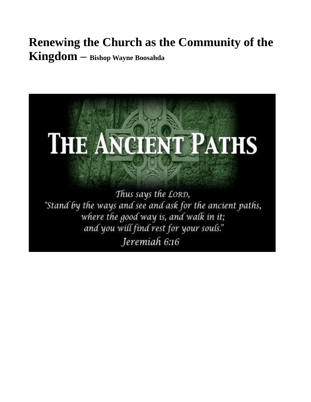## **Renewing the Church as the Community of the** Kingdom - Bishop Wayne Boosahda

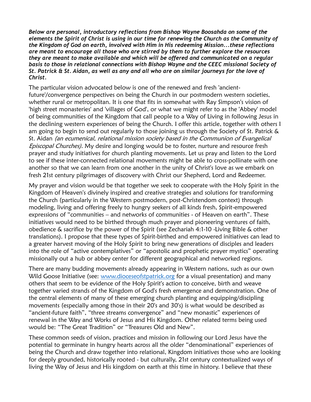*Below are personal, introductory reflections from Bishop Wayne Boosahda on some of the elements the Spirit of Christ is using in our time for renewing the Church as the Community of the Kingdom of God on earth, involved with Him in His redeeming Mission...these reflections are meant to encourage all those who are stirred by them to further explore the resources they are meant to make available and which will be offered and communicated on a regular basis to those in relational connections with Bishop Wayne and the CEEC missional Society of St. Patrick & St. Aidan, as well as any and all who are on similar journeys for the love of Christ.*

The particular vision advocated below is one of the renewed and fresh 'ancientfuture'/convergence perspectives on being the Church in our postmodern western societies, whether rural or metropolitan. It is one that fits in somewhat with Ray Simpson's vision of 'high street monasteries' and 'villages of God', or what we might refer to as the 'Abbey' model of being communities of the Kingdom that call people to a Way of Living in following Jesus in the declining western experiences of being the Church. I offer this article, together with others I am going to begin to send out regularly to those joining us through the Society of St. Patrick & St. Aidan (an ecumenical, relational mission society based in the Communion of Evangelical Episcopal Churches). My desire and longing would be to foster, nurture and resource fresh prayer and study initiatives for church planting movements. Let us pray and listen to the Lord to see if these inter-connected relational movements might be able to cross-pollinate with one another so that we can learn from one another in the unity of Christ's love as we embark on fresh 21st century pilgrimages of discovery with Christ our Shepherd, Lord and Redeemer.

My prayer and vision would be that together we seek to cooperate with the Holy Spirit in the Kingdom of Heaven's divinely inspired and creative strategies and solutions for transforming the Church (particularly in the Western postmodern, post-Christendom context) through modeling, living and offering freely to hungry seekers of all kinds fresh, Spirit-empowered expressions of "communities – and networks of communities - of Heaven on earth". These initiatives would need to be birthed through much prayer and pioneering ventures of faith, obedience & sacrifice by the power of the Spirit (see Zechariah 4:1-10 -Living Bible & other translations). I propose that these types of Spirit-birthed and empowered initiatives can lead to a greater harvest moving of the Holy Spirit to bring new generations of disciples and leaders into the role of "active contemplatives" or "apostolic and prophetic prayer mystics" operating missionally out a hub or abbey center for different geographical and networked regions.

There are many budding movements already appearing in Western nations, such as our own Wild Goose Initiative (see: [www.dioceseofstpatrick.org](http://www.dioceseofstpatrick.org/) for a visual presentation) and many others that seem to be evidence of the Holy Spirit's action to conceive, birth and weave together varied strands of the Kingdom of God's fresh emergence and demonstration. One of the central elements of many of these emerging church planting and equipping/discipling movements (especially among those in their 20's and 30's) is what would be described as "ancient-future faith", "three streams convergence" and "new monastic" experiences of renewal in the Way and Works of Jesus and His Kingdom. Other related terms being used would be: "The Great Tradition" or "Treasures Old and New".

These common seeds of vision, practices and mission in following our Lord Jesus have the potential to germinate in hungry hearts across all the older "denominational" experiences of being the Church and draw together into relational, Kingdom initiatives those who are looking for deeply grounded, historically rooted - but culturally, 21st century contextualized ways of living the Way of Jesus and His kingdom on earth at this time in history. I believe that these